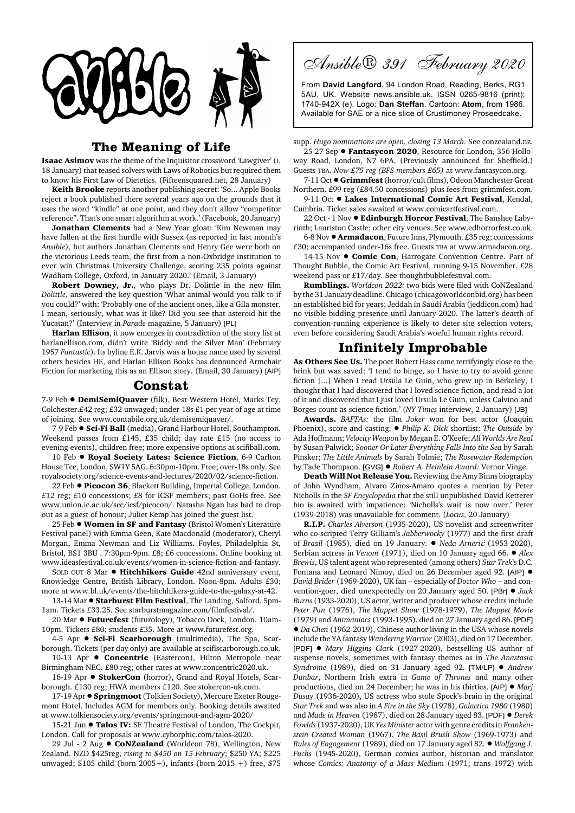

## **The Meaning of Life**

**Isaac Asimov** was the theme of the Inquisitor crossword 'Lawgiver' (*i*, 18 January) that teased solvers with Laws of Robotics but required them to know his First Law of Dietetics. (Fifteensquared.net, 28 January)

**Keith Brooke** reports another publishing secret: 'So... Apple Books reject a book published there several years ago on the grounds that it uses the word "kindle" at one point, and they don't allow "competitor reference". That's one smart algorithm at work.' (Facebook, 20 January)

**Jonathan Clements** had a New Year gloat: 'Kim Newman may have fallen at the first hurdle with Sussex (as reported in last month's *Ansible*), but authors Jonathan Clements and Henry Gee were both on the victorious Leeds team, the first from a non-Oxbridge institution to ever win Christmas University Challenge, scoring 235 points against Wadham College, Oxford, in January 2020.' (Email, 3 January)

**Robert Downey, Jr.**, who plays Dr. Dolittle in the new film *Dolittle*, answered the key question 'What animal would you talk to if you could?' with: 'Probably one of the ancient ones, like a Gila monster. I mean, seriously, what was it like? Did you see that asteroid hit the Yucatan?' (Interview in *Parade* magazine, 5 January) [PL]

**Harlan Ellison**, it now emerges in contradiction of the story list at harlanellison.com, didn't write 'Biddy and the Silver Man' (February 1957 *Fantastic*). Its byline E.K. Jarvis was a house name used by several others besides HE, and Harlan Ellison Books has denounced Armchair Fiction for marketing this as an Ellison story. (Email, 30 January) [AIP]

## **Constat**

7-9 Feb  $\bullet$  **DemiSemiQuaver** (filk), Best Western Hotel, Marks Tey, Colchester.£42 reg; £32 unwaged; under-18s £1 per year of age at time of joining. See www.contabile.org.uk/demisemiquaver/.

7-9 Feb ● Sci-Fi Ball (media), Grand Harbour Hotel, Southampton. Weekend passes from £145, £35 child; day rate £15 (no access to evening events), children free; more expensive options at scifiball.com.

10 Feb  $\bullet$  **Royal Society Lates: Science Fiction**, 6-9 Carlton House Tce, London, SW1Y 5AG. 6:30pm-10pm. Free; over-18s only. See royalsociety.org/science-events-and-lectures/2020/02/science-fiction.

22 Feb  $\bullet$  Picocon 36, Blackett Building, Imperial College, London. £12 reg; £10 concessions; £8 for ICSF members; past GoHs free. See www.union.ic.ac.uk/scc/icsf/picocon/. Natasha Ngan has had to drop out as a guest of honour; Juliet Kemp has joined the guest list.

25 Feb ! **Women in SF and Fantasy** (Bristol Women's Literature Festival panel) with Emma Geen, Kate Macdonald (moderator), Cheryl Morgan, Emma Newman and Liz Williams. Foyles, Philadelphia St, Bristol, BS1 3BU . 7:30pm-9pm. £8; £6 concessions. Online booking at www.ideasfestival.co.uk/events/women-in-science-fiction-and-fantasy.

SOLD OUT 8 Mar  $\bullet$  **Hitchhikers Guide** 42nd anniversary event, Knowledge Centre, British Library, London. Noon-8pm. Adults £30; more at www.bl.uk/events/the-hitchhikers-guide-to-the-galaxy-at-42.

13-14 Mar  $\bullet$  **Starburst Film Festival**, The Landing, Salford. 5pm-1am. Tickets £33.25. See starburstmagazine.com/filmfestival/.

20 Mar  $\bullet$  Futurefest (futurology), Tobacco Dock, London. 10am-10pm. Tickets £80; students £35. More at www.futurefest.org.

4-5 Apr  $\bullet$  Sci-Fi Scarborough (multimedia), The Spa, Scarborough. Tickets (per day only) are available at scifiscarborough.co.uk.

10-13 Apr  $\bullet$  **Concentric** (Eastercon), Hilton Metropole near Birmingham NEC. £80 reg; other rates at www.concentric2020.uk.

16-19 Apr  $\bullet$  **StokerCon** (horror), Grand and Royal Hotels, Scarborough. £130 reg; HWA members £120. See stokercon-uk.com.

17-19 Apr  $\bullet$  **Springmoot** (Tolkien Society), Mercure Exeter Rougemont Hotel. Includes AGM for members only. Booking details awaited at www.tolkiensociety.org/events/springmoot-and-agm-2020/

15-21 Jun  $\bullet$  **Talos IV:** SF Theatre Festival of London, The Cockpit, London. Call for proposals at www.cyborphic.com/talos-2020.

29 Jul - 2 Aug  $\bullet$  **CoNZealand** (Worldcon 78), Wellington, New Zealand. NZD \$425reg, *rising to \$450 on 15 February*; \$250 YA; \$225 unwaged; \$105 child (born 2005+), infants (born 2015 +) free, \$75

Ansible® 391 February 2020

From **David Langford**, 94 London Road, Reading, Berks, RG1 5AU, UK. Website news.ansible.uk. ISSN 0265-9816 (print); 1740-942X (e). Logo: **Dan Steffan**. Cartoon: **Atom**, from 1986. Available for SAE or a nice slice of Crustimoney Proseedcake.

supp. *Hugo nominations are open, closing 13 March.* See conzealand.nz. 25-27 Sep  $\bullet$  Fantasycon 2020, Resource for London, 356 Hollo-

way Road, London, N7 6PA. (Previously announced for Sheffield.) Guests TBA. *Now £75 reg (BFS members £65)* at www.fantasycon.org.

7-11 Oct ! **Grimmfest** (horror/cult films), Odeon Manchester Great Northern. £99 reg (£84.50 concessions) plus fees from grimmfest.com. 9-11 Oct **· Lakes International Comic Art Festival**, Kendal,

Cumbria. Ticket sales awaited at www.comicartfestival.com. 22 Oct - 1 Nov ! **Edinburgh Horror Festival**, The Banshee Labyrinth; Lauriston Castle; other city venues. See www.edhorrorfest.co.uk.

6-8 Nov ! **Armadacon**, Future Inns, Plymouth. £35 reg; concessions £30; accompanied under-16s free. Guests TBA at www.armadacon.org.

14-15 Nov  $\bullet$  **Comic Con**, Harrogate Convention Centre. Part of Thought Bubble, the Comic Art Festival, running 9-15 November. £28 weekend pass or £17/day. See thoughtbubblefestival.com.

**Rumblings.** *Worldcon 2022:* two bids were filed with CoNZealand by the 31 January deadline. Chicago (chicagoworldconbid.org) has been an established bid for years; Jeddah in Saudi Arabia (jeddicon.com) had no visible bidding presence until January 2020. The latter's dearth of convention-running experience is likely to deter site selection voters, even before considering Saudi Arabia's woeful human rights record.

## **Infinitely Improbable**

**As Others See Us.** The poet Robert Hass came terrifyingly close to the brink but was saved: 'I tend to binge, so I have to try to avoid genre fiction [...] When I read Ursula Le Guin, who grew up in Berkeley, I thought that I had discovered that I loved science fiction, and read a lot of it and discovered that I just loved Ursula Le Guin, unless Calvino and Borges count as science fiction.' (*NY Times* interview, 2 January) [JB]

**Awards.** *BAFTAs:* the film *Joker* won for best actor (Joaquin Phoenix), score and casting. ! *Philip K. Dick* shortlist: *The Outside* by Ada Hoffmann; *Velocity Weapon* by Megan E. O'Keefe; *All Worlds Are Real* by Susan Palwick; *Sooner Or Later Everything Falls Into the Sea* by Sarah Pinsker; *The Little Animals* by Sarah Tolmie; *The Rosewater Redemption* by Tade Thompson. [GVG] ! *Robert A. Heinlein Award:* Vernor Vinge.

**Death Will Not Release You.** Reviewing the Amy Binns biography of John Wyndham, Alvaro Zinos-Amaro quotes a mention by Peter Nicholls in the *SF Encyclopedia* that the still unpublished David Ketterer bio is awaited with impatience: 'Nicholls's wait is now over.' Peter (1939-2018) was unavailable for comment. (*Locus*, 20 January)

**R.I.P.** *Charles Alverson* (1935-2020), US novelist and screenwriter who co-scripted Terry Gilliam's *Jabberwocky* (1977) and the first draft of *Brazil* (1985), died on 19 January. ! *Neda Arneri*ƒ (1953-2020), Serbian actress in *Venom* (1971), died on 10 January aged 66. ● *Alex Brewis*, US talent agent who represented (among others) *Star Trek*'s D.C. Fontana and Leonard Nimoy, died on 26 December aged 92. [AIP]  $\bullet$ *David Brider* (1969-2020), UK fan – especially of *Doctor Who* – and convention-goer, died unexpectedly on 20 January aged 50. [PBr] ! *Jack Burns* (1933-2020), US actor, writer and producer whose credits include *Peter Pan* (1976), *The Muppet Show* (1978-1979), *The Muppet Movie* (1979) and *Animaniacs* (1993-1995), died on 27 January aged 86. [PDF] ! *Da Chen* (1962-2019), Chinese author living in the USA whose novels include the YA fantasy *Wandering Warrior* (2003), died on 17 December. [PDF] ! *Mary Higgins Clark* (1927-2020), bestselling US author of suspense novels, sometimes with fantasy themes as in *The Anastasia Syndrome* (1989), died on 31 January aged 92. [TM/LP] ! *Andrew Dunbar*, Northern Irish extra in *Game of Thrones* and many other productions, died on 24 December; he was in his thirties. [AIP] ! *Marj Dusay* (1936-2020), US actress who stole Spock's brain in the original *Star Trek* and was also in *A Fire in the Sky* (1978), *Galactica 1980* (1980) and *Made in Heaven* (1987), died on 28 January aged 83. [PDF] ! *Derek Fowlds* (1937-2020), UK *Yes Minister* actor with genre credits in *Frankenstein Created Woman* (1967), *The Basil Brush Show* (1969-1973) and *Rules of Engagement* (1989), died on 17 January aged 82. ! *Wolfgang J. Fuchs* (1945-2020), German comics author, historian and translator whose *Comics: Anatomy of a Mass Medium* (1971; trans 1972) with